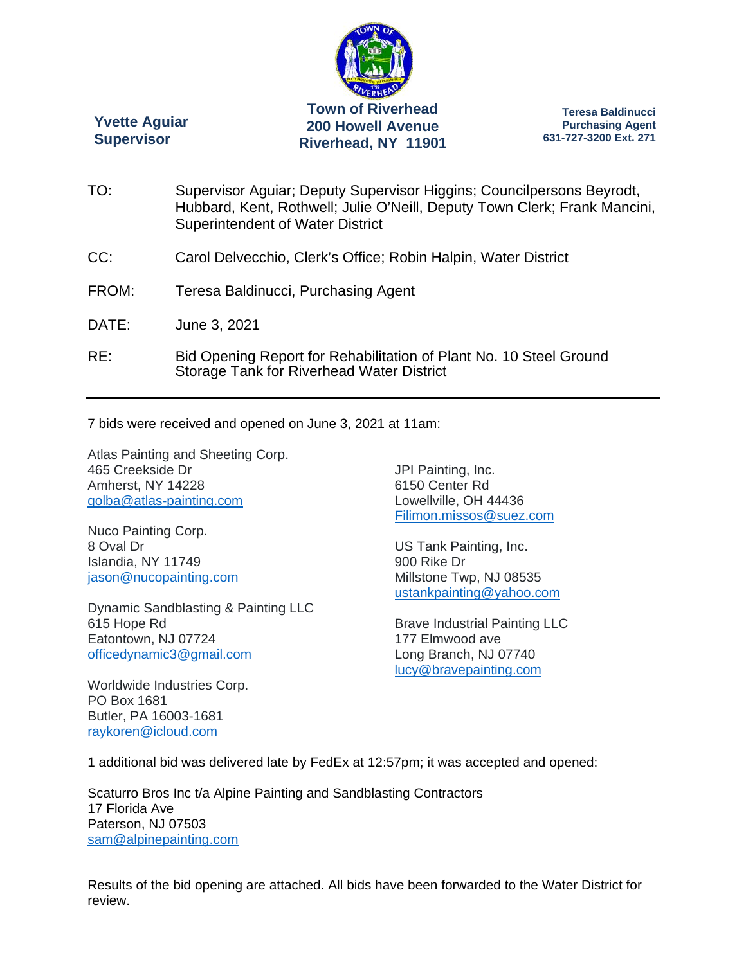

**Yvette Aguiar Supervisor** 

**Teresa Baldinucci Purchasing Agent 631-727-3200 Ext. 271** 

TO: Supervisor Aguiar; Deputy Supervisor Higgins; Councilpersons Beyrodt, Hubbard, Kent, Rothwell; Julie O'Neill, Deputy Town Clerk; Frank Mancini, Superintendent of Water District CC: Carol Delvecchio, Clerk's Office; Robin Halpin, Water District FROM: Teresa Baldinucci, Purchasing Agent DATE: June 3, 2021 RE: Bid Opening Report for Rehabilitation of Plant No. 10 Steel Ground Storage Tank for Riverhead Water District

7 bids were received and opened on June 3, 2021 at 11am:

Atlas Painting and Sheeting Corp. 465 Creekside Dr Amherst, NY 14228 golba@atlas-painting.com

Nuco Painting Corp. 8 Oval Dr Islandia, NY 11749 jason@nucopainting.com

Dynamic Sandblasting & Painting LLC 615 Hope Rd Eatontown, NJ 07724 officedynamic3@gmail.com

JPI Painting, Inc. 6150 Center Rd Lowellville, OH 44436 Filimon.missos@suez.com

US Tank Painting, Inc. 900 Rike Dr Millstone Twp, NJ 08535 ustankpainting@yahoo.com

Brave Industrial Painting LLC 177 Elmwood ave Long Branch, NJ 07740 lucy@bravepainting.com

Worldwide Industries Corp. PO Box 1681 Butler, PA 16003-1681 raykoren@icloud.com

1 additional bid was delivered late by FedEx at 12:57pm; it was accepted and opened:

Scaturro Bros Inc t/a Alpine Painting and Sandblasting Contractors 17 Florida Ave Paterson, NJ 07503 sam@alpinepainting.com

Results of the bid opening are attached. All bids have been forwarded to the Water District for review.